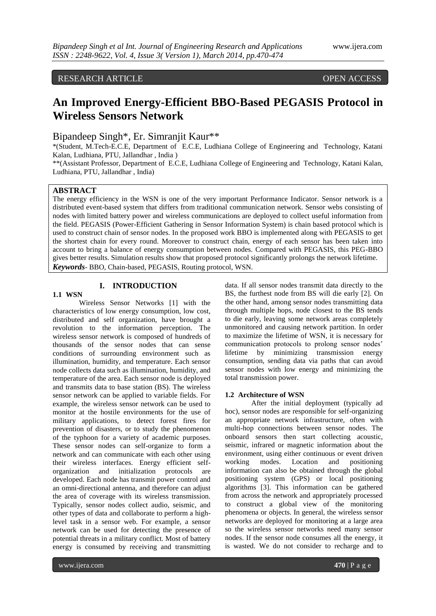# RESEARCH ARTICLE OPEN ACCESS

# **An Improved Energy-Efficient BBO-Based PEGASIS Protocol in Wireless Sensors Network**

Bipandeep Singh\*, Er. Simranjit Kaur\*\*

\*(Student, M.Tech-E.C.E, Department of E.C.E, Ludhiana College of Engineering and Technology, Katani Kalan, Ludhiana, PTU, Jallandhar , India )

\*\*(Assistant Professor, Department of E.C.E, Ludhiana College of Engineering and Technology, Katani Kalan, Ludhiana, PTU, Jallandhar , India)

# **ABSTRACT**

The energy efficiency in the WSN is one of the very important Performance Indicator. Sensor network is a distributed event-based system that differs from traditional communication network. Sensor webs consisting of nodes with limited battery power and wireless communications are deployed to collect useful information from the field. PEGASIS (Power-Efficient Gathering in Sensor Information System) is chain based protocol which is used to construct chain of sensor nodes. In the proposed work BBO is implemented along with PEGASIS to get the shortest chain for every round. Moreover to construct chain, energy of each sensor has been taken into account to bring a balance of energy consumption between nodes. Compared with PEGASIS, this PEG-BBO gives better results. Simulation results show that proposed protocol significantly prolongs the network lifetime. *Keywords*- BBO, Chain-based, PEGASIS, Routing protocol, WSN.

# **I. INTRODUCTION**

# **1.1 WSN**

Wireless Sensor Networks [1] with the characteristics of low energy consumption, low cost, distributed and self organization, have brought a revolution to the information perception. The wireless sensor network is composed of hundreds of thousands of the sensor nodes that can sense conditions of surrounding environment such as illumination, humidity, and temperature. Each sensor node collects data such as illumination, humidity, and temperature of the area. Each sensor node is deployed and transmits data to base station (BS). The wireless sensor network can be applied to variable fields. For example, the wireless sensor network can be used to monitor at the hostile environments for the use of military applications, to detect forest fires for prevention of disasters, or to study the phenomenon of the typhoon for a variety of academic purposes. These sensor nodes can self-organize to form a network and can communicate with each other using their wireless interfaces. Energy efficient selforganization and initialization protocols are developed. Each node has transmit power control and an omni-directional antenna, and therefore can adjust the area of coverage with its wireless transmission. Typically, sensor nodes collect audio, seismic, and other types of data and collaborate to perform a highlevel task in a sensor web. For example, a sensor network can be used for detecting the presence of potential threats in a military conflict. Most of battery energy is consumed by receiving and transmitting

data. If all sensor nodes transmit data directly to the BS, the furthest node from BS will die early [2]. On the other hand, among sensor nodes transmitting data through multiple hops, node closest to the BS tends to die early, leaving some network areas completely unmonitored and causing network partition. In order to maximize the lifetime of WSN, it is necessary for communication protocols to prolong sensor nodes' lifetime by minimizing transmission energy consumption, sending data via paths that can avoid sensor nodes with low energy and minimizing the total transmission power.

#### **1.2 Architecture of WSN**

After the initial deployment (typically ad hoc), sensor nodes are responsible for self-organizing an appropriate network infrastructure, often with multi-hop connections between sensor nodes. The onboard sensors then start collecting acoustic, seismic, infrared or magnetic information about the environment, using either continuous or event driven working modes. Location and positioning information can also be obtained through the global positioning system (GPS) or local positioning algorithms [3]. This information can be gathered from across the network and appropriately processed to construct a global view of the monitoring phenomena or objects. In general, the wireless sensor networks are deployed for monitoring at a large area so the wireless sensor networks need many sensor nodes. If the sensor node consumes all the energy, it is wasted. We do not consider to recharge and to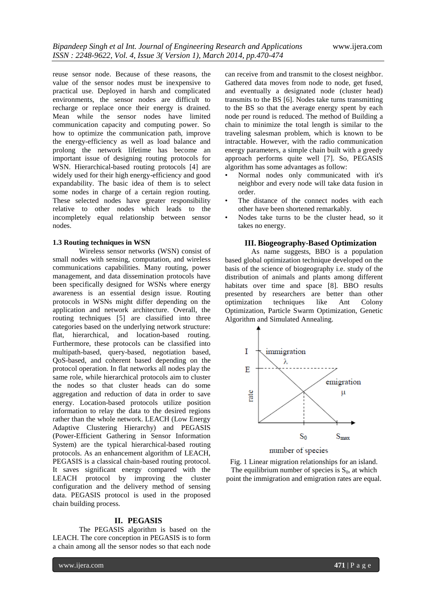reuse sensor node. Because of these reasons, the value of the sensor nodes must be inexpensive to practical use. Deployed in harsh and complicated environments, the sensor nodes are difficult to recharge or replace once their energy is drained. Mean while the sensor nodes have limited communication capacity and computing power. So how to optimize the communication path, improve the energy-efficiency as well as load balance and prolong the network lifetime has become an important issue of designing routing protocols for WSN. Hierarchical-based routing protocols [4] are widely used for their high energy-efficiency and good expandability. The basic idea of them is to select some nodes in charge of a certain region routing. These selected nodes have greater responsibility relative to other nodes which leads to the incompletely equal relationship between sensor nodes.

#### **1.3 Routing techniques in WSN**

Wireless sensor networks (WSN) consist of small nodes with sensing, computation, and wireless communications capabilities. Many routing, power management, and data dissemination protocols have been specifically designed for WSNs where energy awareness is an essential design issue. Routing protocols in WSNs might differ depending on the application and network architecture. Overall, the routing techniques [5] are classified into three categories based on the underlying network structure: flat, hierarchical, and location-based routing. Furthermore, these protocols can be classified into multipath-based, query-based, negotiation based, QoS-based, and coherent based depending on the protocol operation. In flat networks all nodes play the same role, while hierarchical protocols aim to cluster the nodes so that cluster heads can do some aggregation and reduction of data in order to save energy. Location-based protocols utilize position information to relay the data to the desired regions rather than the whole network. LEACH (Low Energy Adaptive Clustering Hierarchy) and PEGASIS (Power-Efficient Gathering in Sensor Information System) are the typical hierarchical-based routing protocols. As an enhancement algorithm of LEACH, PEGASIS is a classical chain-based routing protocol. It saves significant energy compared with the LEACH protocol by improving the cluster configuration and the delivery method of sensing data. PEGASIS protocol is used in the proposed chain building process.

### **II. PEGASIS**

The PEGASIS algorithm is based on the LEACH. The core conception in PEGASIS is to form a chain among all the sensor nodes so that each node

can receive from and transmit to the closest neighbor. Gathered data moves from node to node, get fused, and eventually a designated node (cluster head) transmits to the BS [6]. Nodes take turns transmitting to the BS so that the average energy spent by each node per round is reduced. The method of Building a chain to minimize the total length is similar to the traveling salesman problem, which is known to be intractable. However, with the radio communication energy parameters, a simple chain built with a greedy approach performs quite well [7]. So, PEGASIS algorithm has some advantages as follow:

- Normal nodes only communicated with it's neighbor and every node will take data fusion in order.
- The distance of the connect nodes with each other have been shortened remarkably.
- Nodes take turns to be the cluster head, so it takes no energy.

#### **III. Biogeography-Based Optimization**

As name suggests, BBO is a population based global optimization technique developed on the basis of the science of biogeography i.e. study of the distribution of animals and plants among different habitats over time and space [8]. BBO results presented by researchers are better than other optimization techniques like Ant Colony Optimization, Particle Swarm Optimization, Genetic Algorithm and Simulated Annealing.



number of species

Fig. 1 Linear migration relationships for an island. The equilibrium number of species is  $S_0$ , at which point the immigration and emigration rates are equal.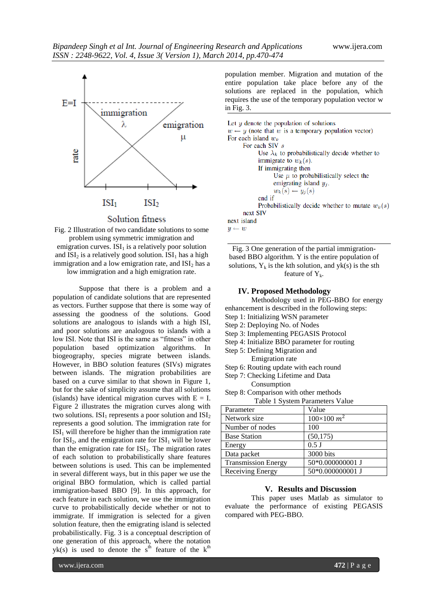

### Solution fitness



Suppose that there is a problem and a population of candidate solutions that are represented as vectors. Further suppose that there is some way of assessing the goodness of the solutions. Good solutions are analogous to islands with a high ISI, and poor solutions are analogous to islands with a low ISI. Note that ISI is the same as "fitness" in other population based optimization algorithms. In biogeography, species migrate between islands. However, in BBO solution features (SIVs) migrates between islands. The migration probabilities are based on a curve similar to that shown in Figure 1, but for the sake of simplicity assume that all solutions (islands) have identical migration curves with  $E = I$ . Figure 2 illustrates the migration curves along with two solutions.  $ISI_1$  represents a poor solution and  $ISI_2$ represents a good solution. The immigration rate for  $ISI<sub>1</sub>$  will therefore be higher than the immigration rate for  $ISI<sub>2</sub>$ , and the emigration rate for  $ISI<sub>1</sub>$  will be lower than the emigration rate for  $ISI<sub>2</sub>$ . The migration rates of each solution to probabilistically share features between solutions is used. This can be implemented in several different ways, but in this paper we use the original BBO formulation, which is called partial immigration-based BBO [9]. In this approach, for each feature in each solution, we use the immigration curve to probabilistically decide whether or not to immigrate. If immigration is selected for a given solution feature, then the emigrating island is selected probabilistically. Fig. 3 is a conceptual description of one generation of this approach, where the notation  $yk(s)$  is used to denote the s<sup>th</sup> feature of the k<sup>th</sup>

population member. Migration and mutation of the entire population take place before any of the solutions are replaced in the population, which requires the use of the temporary population vector w in Fig. 3.

```
Let y denote the population of solutions
w \leftarrow y (note that w is a temporary population vector)
For each island w_kFor each SIV s
            Use \lambda_k to probabilistically decide whether to
            immigrate to w_k(s).
            If immigrating then
                  Use \mu to probabilistically select the
                  emigrating island y_i.
                  w_k(s) \leftarrow y_j(s)end if
            Probabilistically decide whether to mutate w_k(s)next SIV
next island
y \leftarrow w
```
Fig. 3 One generation of the partial immigrationbased BBO algorithm. Y is the entire population of solutions,  $Y_k$  is the kth solution, and yk(s) is the sth feature of  $Y_k$ .

#### **IV. Proposed Methodology**

Methodology used in PEG-BBO for energy enhancement is described in the following steps: Step 1: Initializing WSN parameter

- Step 2: Deploying No. of Nodes
- Step 3: Implementing PEGASIS Protocol
- Step 4: Initialize BBO parameter for routing
- Step 5: Defining Migration and
- Emigration rate
- Step 6: Routing update with each round
- Step 7: Checking Lifetime and Data
	- Consumption
- Step 8: Comparison with other methods Table 1 System Parameters Value

| $1.0018$ $1.01011$ $1.01011$ $1.0010$ $1.0000$ |                    |
|------------------------------------------------|--------------------|
| Parameter                                      | Value              |
| Network size                                   | $100\times100~m^2$ |
| Number of nodes                                | 100                |
| <b>Base Station</b>                            | (50, 175)          |
| Energy                                         | $0.5$ J            |
| Data packet                                    | 3000 bits          |
| <b>Transmission Energy</b>                     | 50*0.000000001 J   |
| Receiving Energy                               | 50*0.000000001 J   |

#### **V. Results and Discussion**

This paper uses Matlab as simulator to evaluate the performance of existing PEGASIS compared with PEG-BBO.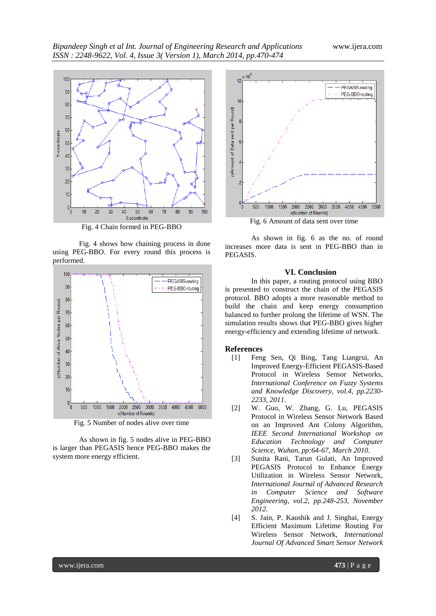

Fig. 4 Chain formed in PEG-BBO

Fig. 4 shows how chaining process in done using PEG-BBO. For every round this process is performed.



Fig. 5 Number of nodes alive over time

As shown in fig. 5 nodes alive in PEG-BBO is larger than PEGASIS hence PEG-BBO makes the system more energy efficient.



As shown in fig. 6 as the no. of round increases more data is sent in PEG-BBO than in PEGASIS.

## **VI. Conclusion**

In this paper, a routing protocol using BBO is presented to construct the chain of the PEGASIS protocol. BBO adopts a more reasonable method to build the chain and keep energy consumption balanced to further prolong the lifetime of WSN. The simulation results shows that PEG-BBO gives higher energy-efficiency and extending lifetime of network.

#### **References**

- [1] Feng Sen, Qi Bing, Tang Liangrui, An Improved Energy-Efficient PEGASIS-Based Protocol in Wireless Sensor Networks*, International Conference on Fuzzy Systems and Knowledge Discovery, vol.4, pp.2230- 2233, 2011.*
- [2] W. Guo, W. Zhang, G. Lu, PEGASIS Protocol in Wireless Sensor Network Based on an Improved Ant Colony Algorithm, *IEEE Second International Workshop on Education Technology and Computer Science, Wuhan, pp:64-67, March 2010.*
- [3] Sunita Rani, Tarun Gulati, An Improved PEGASIS Protocol to Enhance Energy Utilization in Wireless Sensor Network, *International Journal of Advanced Research in Computer Science and Software Engineering, vol.2, pp.248-253, November 2012.*
- [4] S. Jain, P. Kaushik and J. Singhai, Energy Efficient Maximum Lifetime Routing For Wireless Sensor Network, *International Journal Of Advanced Smart Sensor Network*